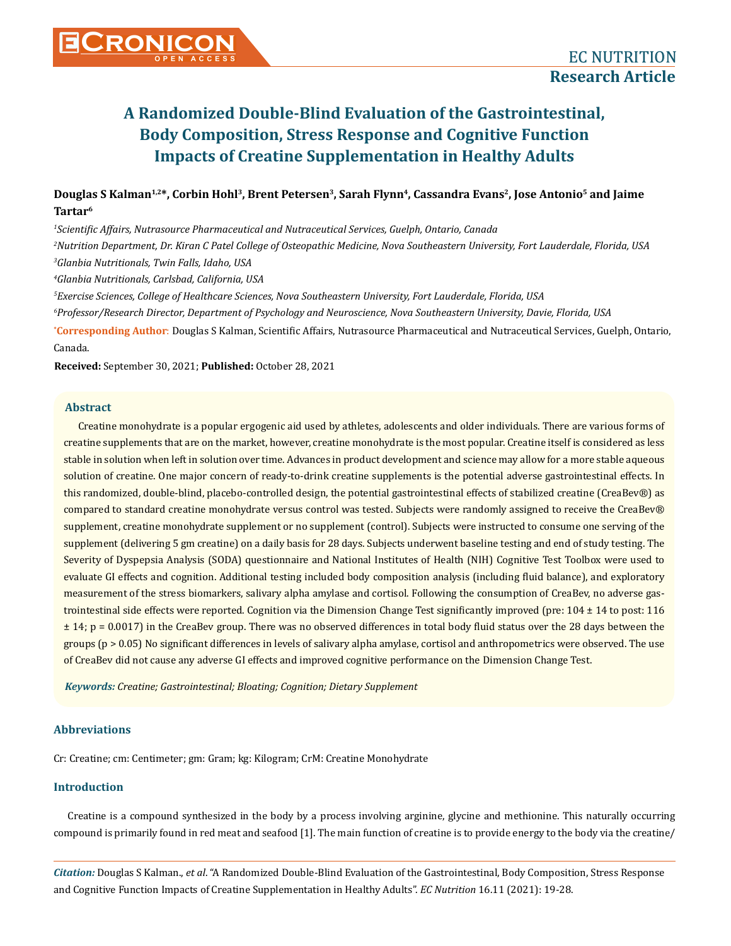# **A Randomized Double-Blind Evaluation of the Gastrointestinal, Body Composition, Stress Response and Cognitive Function Impacts of Creatine Supplementation in Healthy Adults**

# Douglas S Kalman<sup>1,2\*</sup>, Corbin Hohl<sup>3</sup>, Brent Petersen<sup>3</sup>, Sarah Flynn<sup>4</sup>, Cassandra Evans<sup>2</sup>, Jose Antonio<sup>5</sup> and Jaime **Tartar6**

*1 Scientific Affairs, Nutrasource Pharmaceutical and Nutraceutical Services, Guelph, Ontario, Canada* 

*2 Nutrition Department, Dr. Kiran C Patel College of Osteopathic Medicine, Nova Southeastern University, Fort Lauderdale, Florida, USA 3 Glanbia Nutritionals, Twin Falls, Idaho, USA*

*4 Glanbia Nutritionals, Carlsbad, California, USA*

*5 Exercise Sciences, College of Healthcare Sciences, Nova Southeastern University, Fort Lauderdale, Florida, USA*

*6 Professor/Research Director, Department of Psychology and Neuroscience, Nova Southeastern University, Davie, Florida, USA*

**\* Corresponding Author**: Douglas S Kalman, Scientific Affairs, Nutrasource Pharmaceutical and Nutraceutical Services, Guelph, Ontario, Canada.

**Received:** September 30, 2021; **Published:** October 28, 2021

# **Abstract**

Creatine monohydrate is a popular ergogenic aid used by athletes, adolescents and older individuals. There are various forms of creatine supplements that are on the market, however, creatine monohydrate is the most popular. Creatine itself is considered as less stable in solution when left in solution over time. Advances in product development and science may allow for a more stable aqueous solution of creatine. One major concern of ready-to-drink creatine supplements is the potential adverse gastrointestinal effects. In this randomized, double-blind, placebo-controlled design, the potential gastrointestinal effects of stabilized creatine (CreaBev®) as compared to standard creatine monohydrate versus control was tested. Subjects were randomly assigned to receive the CreaBev® supplement, creatine monohydrate supplement or no supplement (control). Subjects were instructed to consume one serving of the supplement (delivering 5 gm creatine) on a daily basis for 28 days. Subjects underwent baseline testing and end of study testing. The Severity of Dyspepsia Analysis (SODA) questionnaire and National Institutes of Health (NIH) Cognitive Test Toolbox were used to evaluate GI effects and cognition. Additional testing included body composition analysis (including fluid balance), and exploratory measurement of the stress biomarkers, salivary alpha amylase and cortisol. Following the consumption of CreaBev, no adverse gastrointestinal side effects were reported. Cognition via the Dimension Change Test significantly improved (pre: 104 ± 14 to post: 116 ± 14; p = 0.0017) in the CreaBev group. There was no observed differences in total body fluid status over the 28 days between the groups ( $p > 0.05$ ) No significant differences in levels of salivary alpha amylase, cortisol and anthropometrics were observed. The use of CreaBev did not cause any adverse GI effects and improved cognitive performance on the Dimension Change Test.

*Keywords: Creatine; Gastrointestinal; Bloating; Cognition; Dietary Supplement*

# **Abbreviations**

Cr: Creatine; cm: Centimeter; gm: Gram; kg: Kilogram; CrM: Creatine Monohydrate

# **Introduction**

Creatine is a compound synthesized in the body by a process involving arginine, glycine and methionine. This naturally occurring compound is primarily found in red meat and seafood [1]. The main function of creatine is to provide energy to the body via the creatine/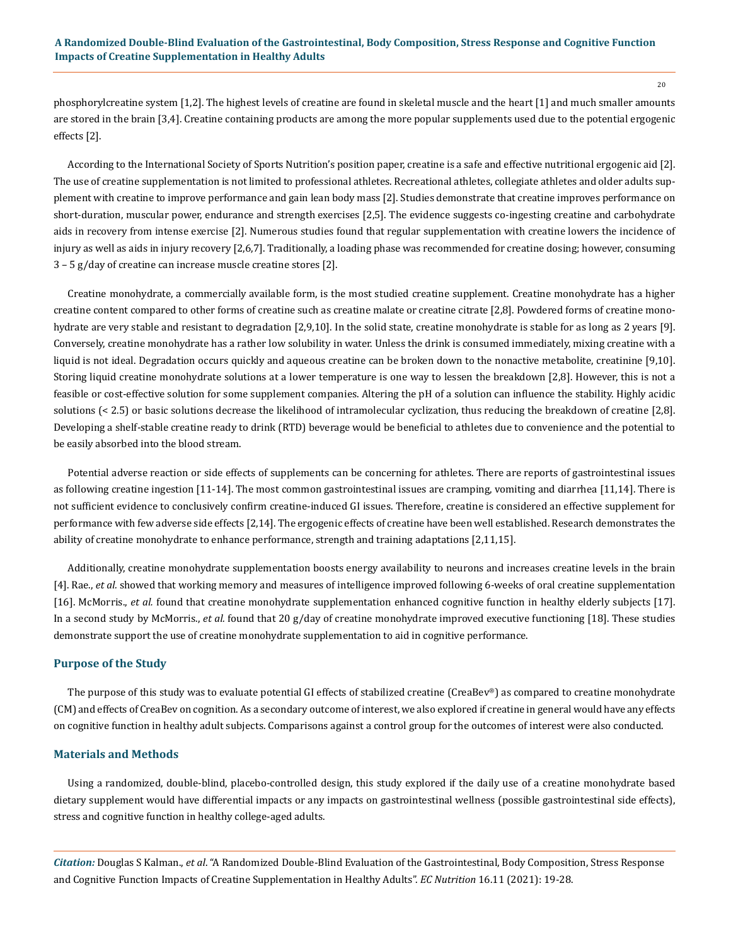phosphorylcreatine system [1,2]. The highest levels of creatine are found in skeletal muscle and the heart [1] and much smaller amounts are stored in the brain [3,4]. Creatine containing products are among the more popular supplements used due to the potential ergogenic effects [2].

According to the International Society of Sports Nutrition's position paper, creatine is a safe and effective nutritional ergogenic aid [2]. The use of creatine supplementation is not limited to professional athletes. Recreational athletes, collegiate athletes and older adults supplement with creatine to improve performance and gain lean body mass [2]. Studies demonstrate that creatine improves performance on short-duration, muscular power, endurance and strength exercises [2,5]. The evidence suggests co-ingesting creatine and carbohydrate aids in recovery from intense exercise [2]. Numerous studies found that regular supplementation with creatine lowers the incidence of injury as well as aids in injury recovery [2,6,7]. Traditionally, a loading phase was recommended for creatine dosing; however, consuming 3 – 5 g/day of creatine can increase muscle creatine stores [2].

Creatine monohydrate, a commercially available form, is the most studied creatine supplement. Creatine monohydrate has a higher creatine content compared to other forms of creatine such as creatine malate or creatine citrate [2,8]. Powdered forms of creatine monohydrate are very stable and resistant to degradation [2,9,10]. In the solid state, creatine monohydrate is stable for as long as 2 years [9]. Conversely, creatine monohydrate has a rather low solubility in water. Unless the drink is consumed immediately, mixing creatine with a liquid is not ideal. Degradation occurs quickly and aqueous creatine can be broken down to the nonactive metabolite, creatinine [9,10]. Storing liquid creatine monohydrate solutions at a lower temperature is one way to lessen the breakdown [2,8]. However, this is not a feasible or cost-effective solution for some supplement companies. Altering the pH of a solution can influence the stability. Highly acidic solutions (< 2.5) or basic solutions decrease the likelihood of intramolecular cyclization, thus reducing the breakdown of creatine [2,8]. Developing a shelf-stable creatine ready to drink (RTD) beverage would be beneficial to athletes due to convenience and the potential to be easily absorbed into the blood stream.

Potential adverse reaction or side effects of supplements can be concerning for athletes. There are reports of gastrointestinal issues as following creatine ingestion [11-14]. The most common gastrointestinal issues are cramping, vomiting and diarrhea [11,14]. There is not sufficient evidence to conclusively confirm creatine-induced GI issues. Therefore, creatine is considered an effective supplement for performance with few adverse side effects [2,14]. The ergogenic effects of creatine have been well established. Research demonstrates the ability of creatine monohydrate to enhance performance, strength and training adaptations [2,11,15].

Additionally, creatine monohydrate supplementation boosts energy availability to neurons and increases creatine levels in the brain [4]. Rae., *et al.* showed that working memory and measures of intelligence improved following 6-weeks of oral creatine supplementation [16]. McMorris., *et al.* found that creatine monohydrate supplementation enhanced cognitive function in healthy elderly subjects [17]. In a second study by McMorris., *et al.* found that 20 g/day of creatine monohydrate improved executive functioning [18]. These studies demonstrate support the use of creatine monohydrate supplementation to aid in cognitive performance.

## **Purpose of the Study**

The purpose of this study was to evaluate potential GI effects of stabilized creatine (CreaBev®) as compared to creatine monohydrate (CM) and effects of CreaBev on cognition. As a secondary outcome of interest, we also explored if creatine in general would have any effects on cognitive function in healthy adult subjects. Comparisons against a control group for the outcomes of interest were also conducted.

#### **Materials and Methods**

Using a randomized, double-blind, placebo-controlled design, this study explored if the daily use of a creatine monohydrate based dietary supplement would have differential impacts or any impacts on gastrointestinal wellness (possible gastrointestinal side effects), stress and cognitive function in healthy college-aged adults.

*Citation:* Douglas S Kalman., *et al*. "A Randomized Double-Blind Evaluation of the Gastrointestinal, Body Composition, Stress Response and Cognitive Function Impacts of Creatine Supplementation in Healthy Adults". *EC Nutrition* 16.11 (2021): 19-28.

20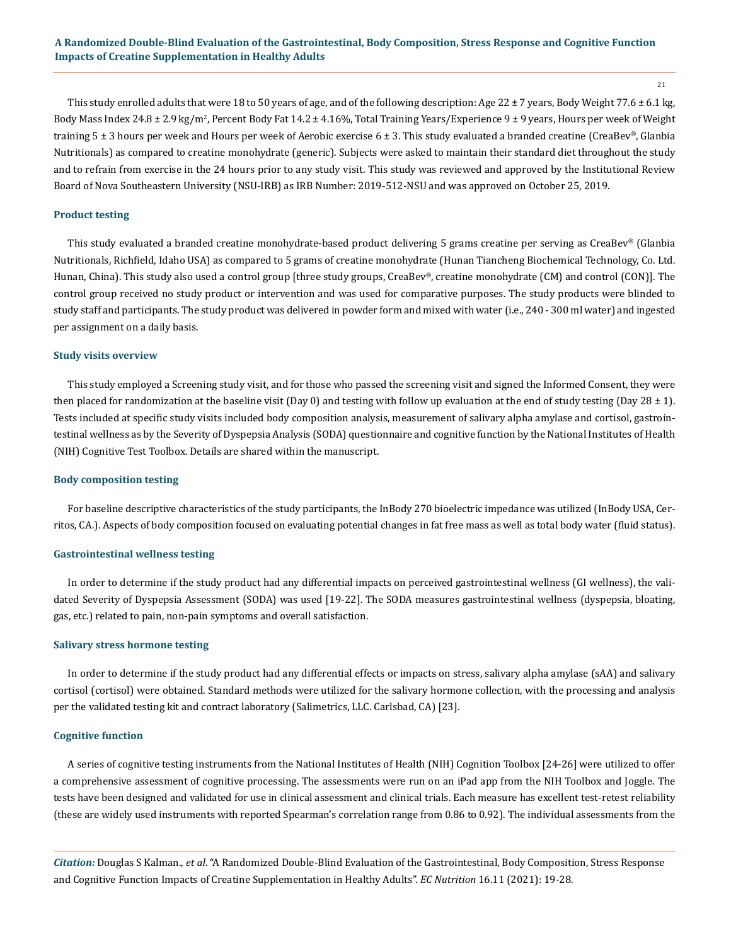21

This study enrolled adults that were 18 to 50 years of age, and of the following description: Age 22  $\pm$  7 years, Body Weight 77.6  $\pm$  6.1 kg, Body Mass Index 24.8 ± 2.9 kg/m<sup>2</sup>, Percent Body Fat 14.2 ± 4.16%, Total Training Years/Experience 9 ± 9 years, Hours per week of Weight training 5 ± 3 hours per week and Hours per week of Aerobic exercise 6 ± 3. This study evaluated a branded creatine (CreaBev*®*, Glanbia Nutritionals) as compared to creatine monohydrate (generic). Subjects were asked to maintain their standard diet throughout the study and to refrain from exercise in the 24 hours prior to any study visit. This study was reviewed and approved by the Institutional Review Board of Nova Southeastern University (NSU-IRB) as IRB Number: 2019-512-NSU and was approved on October 25, 2019.

# **Product testing**

This study evaluated a branded creatine monohydrate-based product delivering 5 grams creatine per serving as CreaBev*®* (Glanbia Nutritionals, Richfield, Idaho USA) as compared to 5 grams of creatine monohydrate (Hunan Tiancheng Biochemical Technology, Co. Ltd. Hunan, China). This study also used a control group [three study groups, CreaBev*®*, creatine monohydrate (CM) and control (CON)]. The control group received no study product or intervention and was used for comparative purposes. The study products were blinded to study staff and participants. The study product was delivered in powder form and mixed with water (i.e., 240 - 300 ml water) and ingested per assignment on a daily basis.

#### **Study visits overview**

This study employed a Screening study visit, and for those who passed the screening visit and signed the Informed Consent, they were then placed for randomization at the baseline visit (Day 0) and testing with follow up evaluation at the end of study testing (Day 28  $\pm$  1). Tests included at specific study visits included body composition analysis, measurement of salivary alpha amylase and cortisol, gastrointestinal wellness as by the Severity of Dyspepsia Analysis (SODA) questionnaire and cognitive function by the National Institutes of Health (NIH) Cognitive Test Toolbox. Details are shared within the manuscript.

#### **Body composition testing**

For baseline descriptive characteristics of the study participants, the InBody 270 bioelectric impedance was utilized (InBody USA, Cerritos, CA.). Aspects of body composition focused on evaluating potential changes in fat free mass as well as total body water (fluid status).

#### **Gastrointestinal wellness testing**

In order to determine if the study product had any differential impacts on perceived gastrointestinal wellness (GI wellness), the validated Severity of Dyspepsia Assessment (SODA) was used [19-22]. The SODA measures gastrointestinal wellness (dyspepsia, bloating, gas, etc.) related to pain, non-pain symptoms and overall satisfaction.

#### **Salivary stress hormone testing**

In order to determine if the study product had any differential effects or impacts on stress, salivary alpha amylase (sAA) and salivary cortisol (cortisol) were obtained. Standard methods were utilized for the salivary hormone collection, with the processing and analysis per the validated testing kit and contract laboratory (Salimetrics, LLC. Carlsbad, CA) [23].

#### **Cognitive function**

A series of cognitive testing instruments from the National Institutes of Health (NIH) Cognition Toolbox [24-26] were utilized to offer a comprehensive assessment of cognitive processing. The assessments were run on an iPad app from the NIH Toolbox and Joggle. The tests have been designed and validated for use in clinical assessment and clinical trials. Each measure has excellent test-retest reliability (these are widely used instruments with reported Spearman's correlation range from 0.86 to 0.92). The individual assessments from the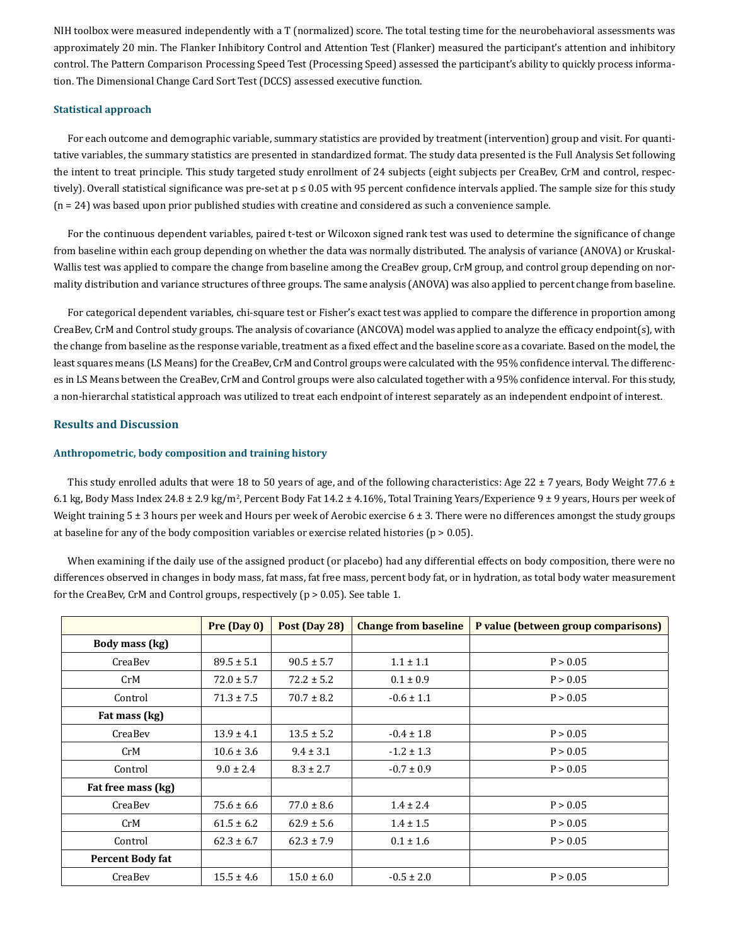NIH toolbox were measured independently with a T (normalized) score. The total testing time for the neurobehavioral assessments was approximately 20 min. The Flanker Inhibitory Control and Attention Test (Flanker) measured the participant's attention and inhibitory control. The Pattern Comparison Processing Speed Test (Processing Speed) assessed the participant's ability to quickly process information. The Dimensional Change Card Sort Test (DCCS) assessed executive function.

#### **Statistical approach**

For each outcome and demographic variable, summary statistics are provided by treatment (intervention) group and visit. For quantitative variables, the summary statistics are presented in standardized format. The study data presented is the Full Analysis Set following the intent to treat principle. This study targeted study enrollment of 24 subjects (eight subjects per CreaBev, CrM and control, respectively). Overall statistical significance was pre-set at  $p \le 0.05$  with 95 percent confidence intervals applied. The sample size for this study (n = 24) was based upon prior published studies with creatine and considered as such a convenience sample.

For the continuous dependent variables, paired t-test or Wilcoxon signed rank test was used to determine the significance of change from baseline within each group depending on whether the data was normally distributed. The analysis of variance (ANOVA) or Kruskal-Wallis test was applied to compare the change from baseline among the CreaBev group, CrM group, and control group depending on normality distribution and variance structures of three groups. The same analysis (ANOVA) was also applied to percent change from baseline.

For categorical dependent variables, chi-square test or Fisher's exact test was applied to compare the difference in proportion among CreaBev, CrM and Control study groups. The analysis of covariance (ANCOVA) model was applied to analyze the efficacy endpoint(s), with the change from baseline as the response variable, treatment as a fixed effect and the baseline score as a covariate. Based on the model, the least squares means (LS Means) for the CreaBev, CrM and Control groups were calculated with the 95% confidence interval. The differences in LS Means between the CreaBev, CrM and Control groups were also calculated together with a 95% confidence interval. For this study, a non-hierarchal statistical approach was utilized to treat each endpoint of interest separately as an independent endpoint of interest.

## **Results and Discussion**

## **Anthropometric, body composition and training history**

This study enrolled adults that were 18 to 50 years of age, and of the following characteristics: Age 22  $\pm$  7 years, Body Weight 77.6  $\pm$ 6.1 kg, Body Mass Index 24.8 ± 2.9 kg/m<sup>2</sup>, Percent Body Fat 14.2 ± 4.16%, Total Training Years/Experience 9 ± 9 years, Hours per week of Weight training  $5 \pm 3$  hours per week and Hours per week of Aerobic exercise  $6 \pm 3$ . There were no differences amongst the study groups at baseline for any of the body composition variables or exercise related histories ( $p > 0.05$ ).

When examining if the daily use of the assigned product (or placebo) had any differential effects on body composition, there were no differences observed in changes in body mass, fat mass, fat free mass, percent body fat, or in hydration, as total body water measurement for the CreaBev, CrM and Control groups, respectively (p > 0.05). See table 1.

|                         | Pre (Day 0)    | Post (Day 28)  | <b>Change from baseline</b> | P value (between group comparisons) |
|-------------------------|----------------|----------------|-----------------------------|-------------------------------------|
| Body mass (kg)          |                |                |                             |                                     |
| CreaBev                 | $89.5 \pm 5.1$ | $90.5 \pm 5.7$ | $1.1 \pm 1.1$               | P > 0.05                            |
| CrM                     | $72.0 \pm 5.7$ | $72.2 \pm 5.2$ | $0.1 \pm 0.9$               | P > 0.05                            |
| Control                 | $71.3 \pm 7.5$ | $70.7 \pm 8.2$ | $-0.6 \pm 1.1$              | P > 0.05                            |
| Fat mass (kg)           |                |                |                             |                                     |
| CreaBev                 | $13.9 \pm 4.1$ | $13.5 \pm 5.2$ | $-0.4 \pm 1.8$              | P > 0.05                            |
| CrM                     | $10.6 \pm 3.6$ | $9.4 \pm 3.1$  | $-1.2 \pm 1.3$              | P > 0.05                            |
| Control                 | $9.0 \pm 2.4$  | $8.3 \pm 2.7$  | $-0.7 \pm 0.9$              | P > 0.05                            |
| Fat free mass (kg)      |                |                |                             |                                     |
| CreaBev                 | $75.6 \pm 6.6$ | $77.0 \pm 8.6$ | $1.4 \pm 2.4$               | P > 0.05                            |
| CrM                     | $61.5 \pm 6.2$ | $62.9 \pm 5.6$ | $1.4 \pm 1.5$               | P > 0.05                            |
| Control                 | $62.3 \pm 6.7$ | $62.3 \pm 7.9$ | $0.1 \pm 1.6$               | P > 0.05                            |
| <b>Percent Body fat</b> |                |                |                             |                                     |
| CreaBev                 | $15.5 \pm 4.6$ | $15.0 \pm 6.0$ | $-0.5 \pm 2.0$              | P > 0.05                            |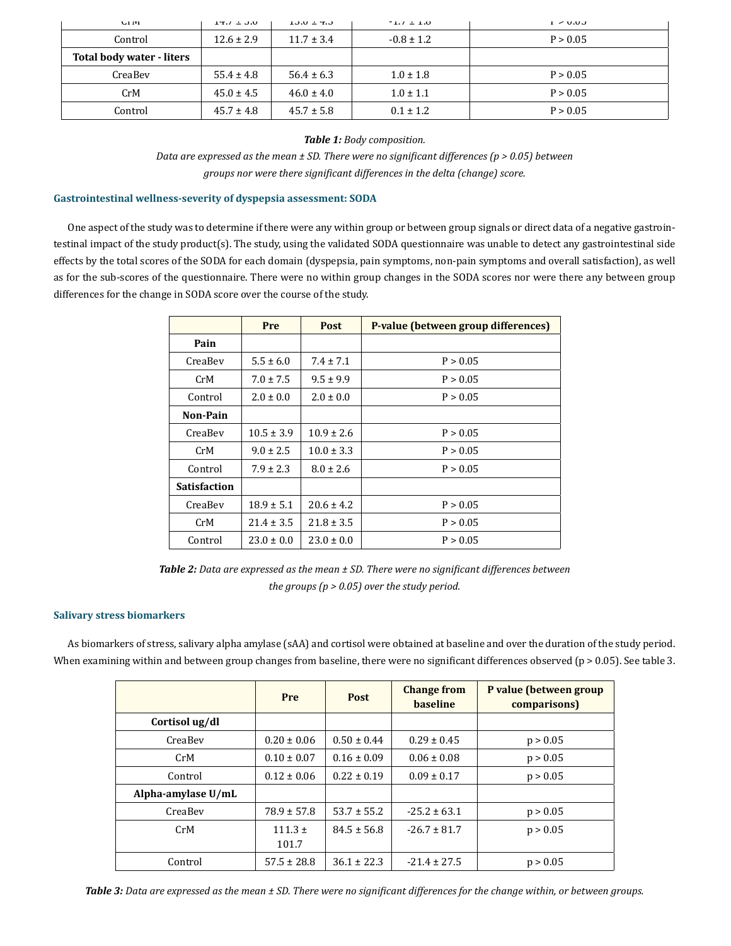| <b>ULIVE</b>              | $14.7 \pm 0.0$ | $13.0 \pm 4.3$ | $-1.7 \pm 1.0$ | L > 0.03 |
|---------------------------|----------------|----------------|----------------|----------|
| Control                   | $12.6 \pm 2.9$ | $11.7 \pm 3.4$ | $-0.8 \pm 1.2$ | P > 0.05 |
| Total body water - liters |                |                |                |          |
| CreaBev                   | $55.4 \pm 4.8$ | $56.4 \pm 6.3$ | $1.0 \pm 1.8$  | P > 0.05 |
| CrM                       | $45.0 \pm 4.5$ | $46.0 \pm 4.0$ | $1.0 \pm 1.1$  | P > 0.05 |
| Control                   | $45.7 \pm 4.8$ | $45.7 \pm 5.8$ | $0.1 \pm 1.2$  | P > 0.05 |

*Table 1: Body composition.*

*Data are expressed as the mean ± SD. There were no significant differences (p > 0.05) between groups nor were there significant differences in the delta (change) score.*

# **Gastrointestinal wellness-severity of dyspepsia assessment: SODA**

One aspect of the study was to determine if there were any within group or between group signals or direct data of a negative gastrointestinal impact of the study product(s). The study, using the validated SODA questionnaire was unable to detect any gastrointestinal side effects by the total scores of the SODA for each domain (dyspepsia, pain symptoms, non-pain symptoms and overall satisfaction), as well as for the sub-scores of the questionnaire. There were no within group changes in the SODA scores nor were there any between group differences for the change in SODA score over the course of the study.

|                     | Pre            | P-value (between group differences)<br><b>Post</b> |          |
|---------------------|----------------|----------------------------------------------------|----------|
| Pain                |                |                                                    |          |
| CreaBev             | $5.5 \pm 6.0$  | $7.4 \pm 7.1$                                      | P > 0.05 |
| CrM                 | $7.0 \pm 7.5$  | $9.5 \pm 9.9$                                      | P > 0.05 |
| Control             | $2.0 \pm 0.0$  | $2.0 \pm 0.0$                                      | P > 0.05 |
| Non-Pain            |                |                                                    |          |
| CreaBey             | $10.5 \pm 3.9$ | $10.9 \pm 2.6$                                     | P > 0.05 |
| CrM                 | $9.0 \pm 2.5$  | $10.0 \pm 3.3$                                     | P > 0.05 |
| Control             | $7.9 \pm 2.3$  | $8.0 \pm 2.6$                                      | P > 0.05 |
| <b>Satisfaction</b> |                |                                                    |          |
| CreaBev             | $18.9 \pm 5.1$ | $20.6 \pm 4.2$                                     | P > 0.05 |
| CrM                 | $21.4 \pm 3.5$ | $21.8 \pm 3.5$                                     | P > 0.05 |
| Control             | $23.0 \pm 0.0$ | $23.0 \pm 0.0$                                     | P > 0.05 |

*Table 2: Data are expressed as the mean ± SD. There were no significant differences between the groups (p > 0.05) over the study period.*

## **Salivary stress biomarkers**

As biomarkers of stress, salivary alpha amylase (sAA) and cortisol were obtained at baseline and over the duration of the study period. When examining within and between group changes from baseline, there were no significant differences observed ( $p > 0.05$ ). See table 3.

|                    | Pre                  | <b>Post</b>     | <b>Change from</b><br><b>baseline</b> | P value (between group<br>comparisons) |
|--------------------|----------------------|-----------------|---------------------------------------|----------------------------------------|
| Cortisol ug/dl     |                      |                 |                                       |                                        |
| CreaBev            | $0.20 \pm 0.06$      | $0.50 \pm 0.44$ | $0.29 \pm 0.45$                       | p > 0.05                               |
| CrM                | $0.10 \pm 0.07$      | $0.16 \pm 0.09$ | $0.06 \pm 0.08$                       | p > 0.05                               |
| Control            | $0.12 \pm 0.06$      | $0.22 \pm 0.19$ | $0.09 \pm 0.17$                       | p > 0.05                               |
| Alpha-amylase U/mL |                      |                 |                                       |                                        |
| CreaBev            | $78.9 \pm 57.8$      | $53.7 \pm 55.2$ | $-25.2 \pm 63.1$                      | p > 0.05                               |
| CrM                | $111.3 \pm$<br>101.7 | $84.5 \pm 56.8$ | $-26.7 \pm 81.7$                      | p > 0.05                               |
| Control            | $57.5 \pm 28.8$      | $36.1 \pm 22.3$ | $-21.4 \pm 27.5$                      | p > 0.05                               |

*Table 3: Data are expressed as the mean ± SD. There were no significant differences for the change within, or between groups.*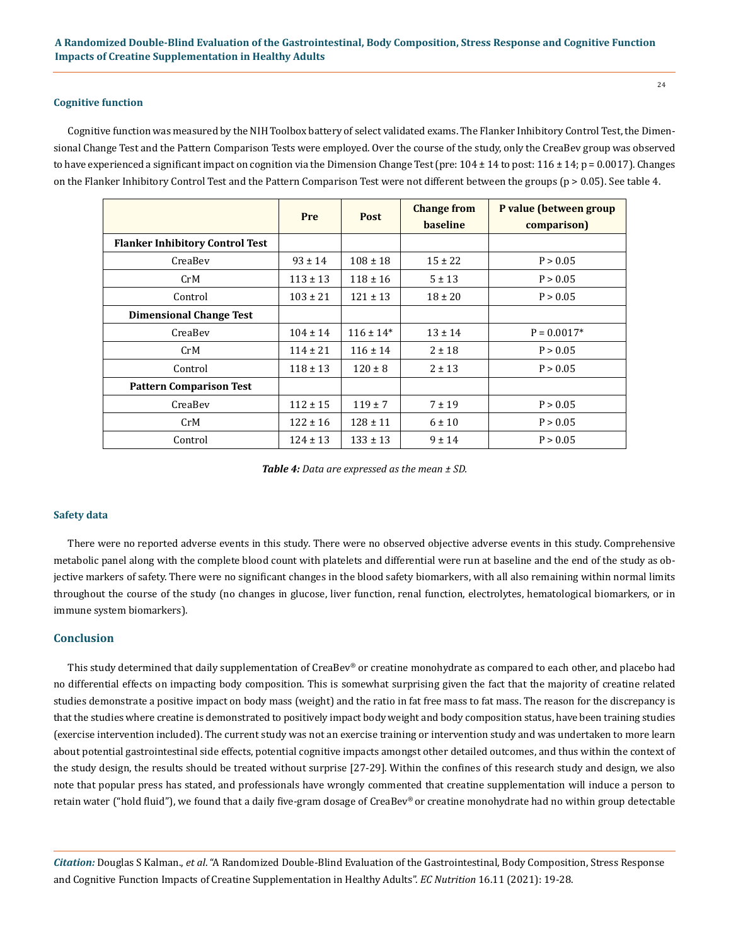#### **Cognitive function**

Cognitive function was measured by the NIH Toolbox battery of select validated exams. The Flanker Inhibitory Control Test, the Dimensional Change Test and the Pattern Comparison Tests were employed. Over the course of the study, only the CreaBev group was observed to have experienced a significant impact on cognition via the Dimension Change Test (pre:  $104 \pm 14$  to post:  $116 \pm 14$ ; p = 0.0017). Changes on the Flanker Inhibitory Control Test and the Pattern Comparison Test were not different between the groups ( $p > 0.05$ ). See table 4.

|                                        | Pre          | <b>Post</b>   | <b>Change from</b><br><b>baseline</b> | P value (between group<br>comparison) |
|----------------------------------------|--------------|---------------|---------------------------------------|---------------------------------------|
| <b>Flanker Inhibitory Control Test</b> |              |               |                                       |                                       |
| CreaBev                                | $93 \pm 14$  | $108 \pm 18$  | $15 \pm 22$                           | P > 0.05                              |
| CrM                                    | $113 \pm 13$ | $118 \pm 16$  | $5 \pm 13$                            | P > 0.05                              |
| Control                                | $103 \pm 21$ | $121 \pm 13$  | $18 \pm 20$                           | P > 0.05                              |
| <b>Dimensional Change Test</b>         |              |               |                                       |                                       |
| CreaBev                                | $104 \pm 14$ | $116 \pm 14*$ | $13 \pm 14$                           | $P = 0.0017*$                         |
| CrM                                    | $114 \pm 21$ | $116 \pm 14$  | $2 \pm 18$                            | P > 0.05                              |
| Control                                | $118 \pm 13$ | $120 \pm 8$   | $2 \pm 13$                            | P > 0.05                              |
| <b>Pattern Comparison Test</b>         |              |               |                                       |                                       |
| CreaBev                                | $112 \pm 15$ | $119 \pm 7$   | $7 \pm 19$                            | P > 0.05                              |
| CrM                                    | $122 \pm 16$ | $128 \pm 11$  | $6 \pm 10$                            | P > 0.05                              |
| Control                                | $124 \pm 13$ | $133 \pm 13$  | $9 \pm 14$                            | P > 0.05                              |

*Table 4: Data are expressed as the mean ± SD.* 

#### **Safety data**

There were no reported adverse events in this study. There were no observed objective adverse events in this study. Comprehensive metabolic panel along with the complete blood count with platelets and differential were run at baseline and the end of the study as objective markers of safety. There were no significant changes in the blood safety biomarkers, with all also remaining within normal limits throughout the course of the study (no changes in glucose, liver function, renal function, electrolytes, hematological biomarkers, or in immune system biomarkers).

# **Conclusion**

This study determined that daily supplementation of CreaBev® or creatine monohydrate as compared to each other, and placebo had no differential effects on impacting body composition. This is somewhat surprising given the fact that the majority of creatine related studies demonstrate a positive impact on body mass (weight) and the ratio in fat free mass to fat mass. The reason for the discrepancy is that the studies where creatine is demonstrated to positively impact body weight and body composition status, have been training studies (exercise intervention included). The current study was not an exercise training or intervention study and was undertaken to more learn about potential gastrointestinal side effects, potential cognitive impacts amongst other detailed outcomes, and thus within the context of the study design, the results should be treated without surprise [27-29]. Within the confines of this research study and design, we also note that popular press has stated, and professionals have wrongly commented that creatine supplementation will induce a person to retain water ("hold fluid"), we found that a daily five-gram dosage of CreaBev® or creatine monohydrate had no within group detectable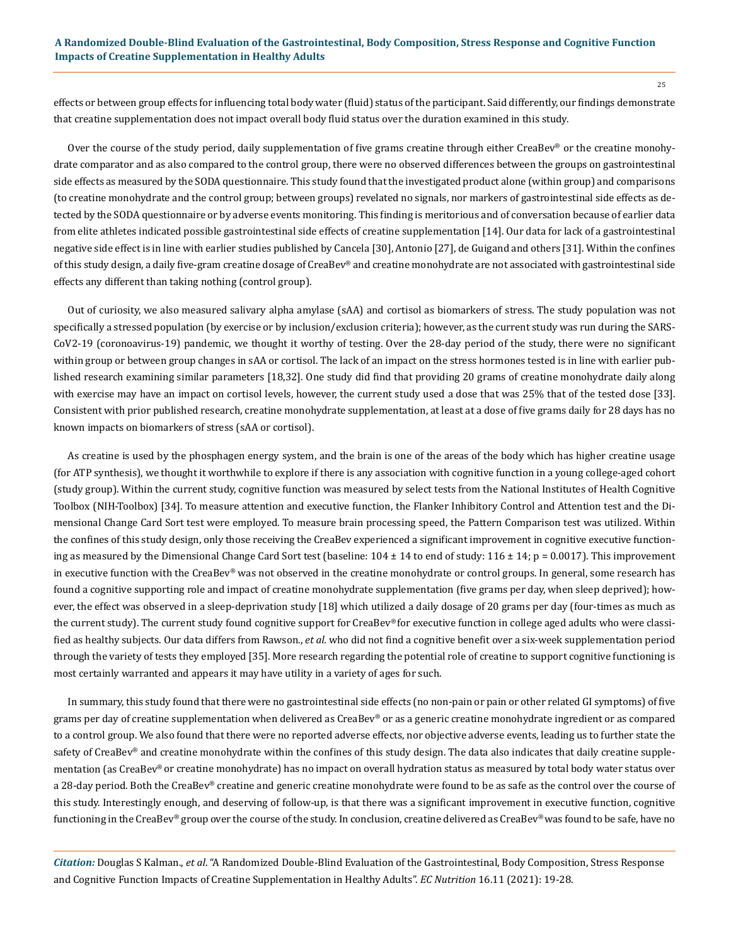effects or between group effects for influencing total body water (fluid) status of the participant. Said differently, our findings demonstrate that creatine supplementation does not impact overall body fluid status over the duration examined in this study.

Over the course of the study period, daily supplementation of five grams creatine through either CreaBev® or the creatine monohydrate comparator and as also compared to the control group, there were no observed differences between the groups on gastrointestinal side effects as measured by the SODA questionnaire. This study found that the investigated product alone (within group) and comparisons (to creatine monohydrate and the control group; between groups) revelated no signals, nor markers of gastrointestinal side effects as detected by the SODA questionnaire or by adverse events monitoring. This finding is meritorious and of conversation because of earlier data from elite athletes indicated possible gastrointestinal side effects of creatine supplementation [14]. Our data for lack of a gastrointestinal negative side effect is in line with earlier studies published by Cancela [30], Antonio [27], de Guigand and others [31]. Within the confines of this study design, a daily five-gram creatine dosage of CreaBev® and creatine monohydrate are not associated with gastrointestinal side effects any different than taking nothing (control group).

Out of curiosity, we also measured salivary alpha amylase (sAA) and cortisol as biomarkers of stress. The study population was not specifically a stressed population (by exercise or by inclusion/exclusion criteria); however, as the current study was run during the SARS-CoV2-19 (coronoavirus-19) pandemic, we thought it worthy of testing. Over the 28-day period of the study, there were no significant within group or between group changes in sAA or cortisol. The lack of an impact on the stress hormones tested is in line with earlier published research examining similar parameters [18,32]. One study did find that providing 20 grams of creatine monohydrate daily along with exercise may have an impact on cortisol levels, however, the current study used a dose that was 25% that of the tested dose [33]. Consistent with prior published research, creatine monohydrate supplementation, at least at a dose of five grams daily for 28 days has no known impacts on biomarkers of stress (sAA or cortisol).

As creatine is used by the phosphagen energy system, and the brain is one of the areas of the body which has higher creatine usage (for ATP synthesis), we thought it worthwhile to explore if there is any association with cognitive function in a young college-aged cohort (study group). Within the current study, cognitive function was measured by select tests from the National Institutes of Health Cognitive Toolbox (NIH-Toolbox) [34]. To measure attention and executive function, the Flanker Inhibitory Control and Attention test and the Dimensional Change Card Sort test were employed. To measure brain processing speed, the Pattern Comparison test was utilized. Within the confines of this study design, only those receiving the CreaBev experienced a significant improvement in cognitive executive functioning as measured by the Dimensional Change Card Sort test (baseline:  $104 \pm 14$  to end of study:  $116 \pm 14$ ; p = 0.0017). This improvement in executive function with the CreaBev*®* was not observed in the creatine monohydrate or control groups. In general, some research has found a cognitive supporting role and impact of creatine monohydrate supplementation (five grams per day, when sleep deprived); however, the effect was observed in a sleep-deprivation study [18] which utilized a daily dosage of 20 grams per day (four-times as much as the current study). The current study found cognitive support for CreaBev*®* for executive function in college aged adults who were classified as healthy subjects. Our data differs from Rawson., *et al.* who did not find a cognitive benefit over a six-week supplementation period through the variety of tests they employed [35]. More research regarding the potential role of creatine to support cognitive functioning is most certainly warranted and appears it may have utility in a variety of ages for such.

In summary, this study found that there were no gastrointestinal side effects (no non-pain or pain or other related GI symptoms) of five grams per day of creatine supplementation when delivered as CreaBev® or as a generic creatine monohydrate ingredient or as compared to a control group. We also found that there were no reported adverse effects, nor objective adverse events, leading us to further state the safety of CreaBev® and creatine monohydrate within the confines of this study design. The data also indicates that daily creatine supplementation (as CreaBev® or creatine monohydrate) has no impact on overall hydration status as measured by total body water status over a 28-day period. Both the CreaBev® creatine and generic creatine monohydrate were found to be as safe as the control over the course of this study. Interestingly enough, and deserving of follow-up, is that there was a significant improvement in executive function, cognitive functioning in the CreaBev® group over the course of the study. In conclusion, creatine delivered as CreaBev® was found to be safe, have no

*Citation:* Douglas S Kalman., *et al*. "A Randomized Double-Blind Evaluation of the Gastrointestinal, Body Composition, Stress Response and Cognitive Function Impacts of Creatine Supplementation in Healthy Adults". *EC Nutrition* 16.11 (2021): 19-28.

25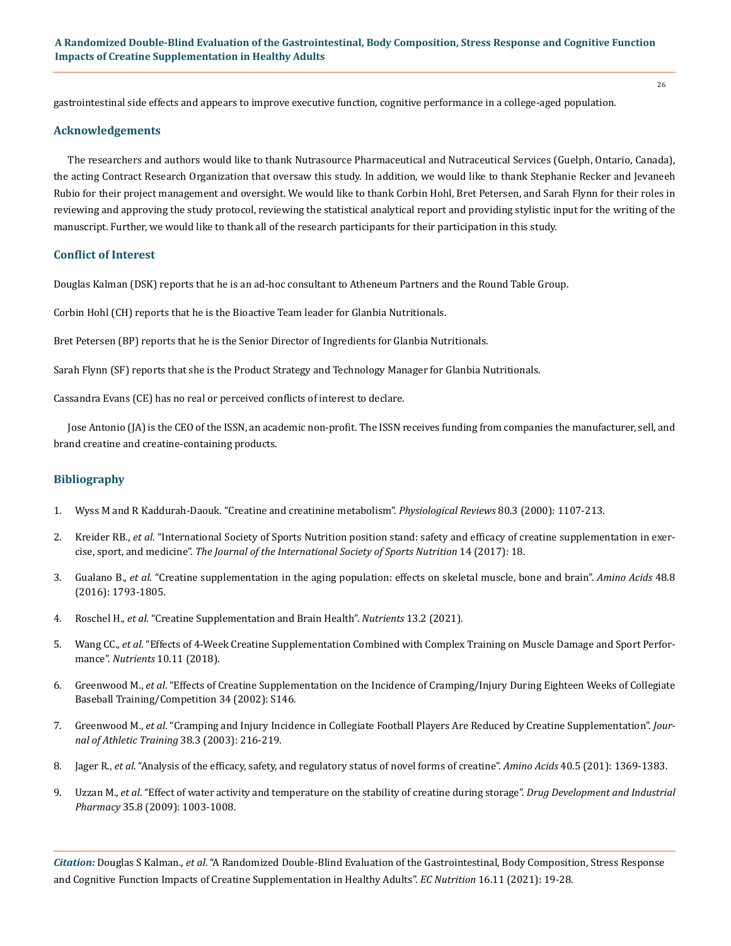gastrointestinal side effects and appears to improve executive function, cognitive performance in a college-aged population.

#### **Acknowledgements**

The researchers and authors would like to thank Nutrasource Pharmaceutical and Nutraceutical Services (Guelph, Ontario, Canada), the acting Contract Research Organization that oversaw this study. In addition, we would like to thank Stephanie Recker and Jevaneeh Rubio for their project management and oversight. We would like to thank Corbin Hohl, Bret Petersen, and Sarah Flynn for their roles in reviewing and approving the study protocol, reviewing the statistical analytical report and providing stylistic input for the writing of the manuscript. Further, we would like to thank all of the research participants for their participation in this study.

#### **Conflict of Interest**

Douglas Kalman (DSK) reports that he is an ad-hoc consultant to Atheneum Partners and the Round Table Group.

Corbin Hohl (CH) reports that he is the Bioactive Team leader for Glanbia Nutritionals.

Bret Petersen (BP) reports that he is the Senior Director of Ingredients for Glanbia Nutritionals.

Sarah Flynn (SF) reports that she is the Product Strategy and Technology Manager for Glanbia Nutritionals.

Cassandra Evans (CE) has no real or perceived conflicts of interest to declare.

Jose Antonio (JA) is the CEO of the ISSN, an academic non-profit. The ISSN receives funding from companies the manufacturer, sell, and brand creatine and creatine-containing products.

## **Bibliography**

- 1. [Wyss M and R Kaddurah-Daouk. "Creatine and creatinine metabolism".](https://pubmed.ncbi.nlm.nih.gov/10893433/) *Physiological Reviews* 80.3 (2000): 1107-213.
- 2. Kreider RB., *et al*[. "International Society of Sports Nutrition position stand: safety and efficacy of creatine supplementation in exer](https://jissn.biomedcentral.com/articles/10.1186/s12970-017-0173-z)cise, sport, and medicine". *[The Journal of the International Society of Sports Nutrition](https://jissn.biomedcentral.com/articles/10.1186/s12970-017-0173-z)* 14 (2017): 18.
- 3. Gualano B., *et al*[. "Creatine supplementation in the aging population: effects on skeletal muscle, bone and brain".](https://www.researchgate.net/publication/301610148_Creatine_supplementation_in_the_aging_population_effects_on_skeletal_muscle_bone_and_brain) *Amino Acids* 48.8 [\(2016\): 1793-1805.](https://www.researchgate.net/publication/301610148_Creatine_supplementation_in_the_aging_population_effects_on_skeletal_muscle_bone_and_brain)
- 4. Roschel H., *et al*[. "Creatine Supplementation and Brain Health".](https://pubmed.ncbi.nlm.nih.gov/33578876/) *Nutrients* 13.2 (2021).
- 5. Wang CC., *et al*[. "Effects of 4-Week Creatine Supplementation Combined with Complex Training on Muscle Damage and Sport Perfor](https://pubmed.ncbi.nlm.nih.gov/30400221/)mance". *Nutrients* [10.11 \(2018\).](https://pubmed.ncbi.nlm.nih.gov/30400221/)
- 6. Greenwood M., *et al*[. "Effects of Creatine Supplementation on the Incidence of Cramping/Injury During Eighteen Weeks of Collegiate](https://www.researchgate.net/publication/232156911_Effects_of_Creatine_Supplementation_on_the_Incidence_of_CrampingInjury_During_Eighteen_Weeks_of_Collegiate_Baseball_TrainingCompetition)  [Baseball Training/Competition 34 \(2002\): S146.](https://www.researchgate.net/publication/232156911_Effects_of_Creatine_Supplementation_on_the_Incidence_of_CrampingInjury_During_Eighteen_Weeks_of_Collegiate_Baseball_TrainingCompetition)
- 7. Greenwood M., *et al*[. "Cramping and Injury Incidence in Collegiate Football Players Are Reduced by Creatine Supplementation".](https://www.ncbi.nlm.nih.gov/pmc/articles/PMC233174/) *Jour[nal of Athletic Training](https://www.ncbi.nlm.nih.gov/pmc/articles/PMC233174/)* 38.3 (2003): 216-219.
- 8. Jager R., *et al*[. "Analysis of the efficacy, safety, and regulatory status of novel forms of creatine".](https://pubmed.ncbi.nlm.nih.gov/21424716/) *Amino Acids* 40.5 (201): 1369-1383.
- 9. Uzzan M., *et al*[. "Effect of water activity and temperature on the stability of creatine during storage".](https://pubmed.ncbi.nlm.nih.gov/19635041/) *Drug Development and Industrial Pharmacy* [35.8 \(2009\): 1003-1008.](https://pubmed.ncbi.nlm.nih.gov/19635041/)

*Citation:* Douglas S Kalman., *et al*. "A Randomized Double-Blind Evaluation of the Gastrointestinal, Body Composition, Stress Response and Cognitive Function Impacts of Creatine Supplementation in Healthy Adults". *EC Nutrition* 16.11 (2021): 19-28.

26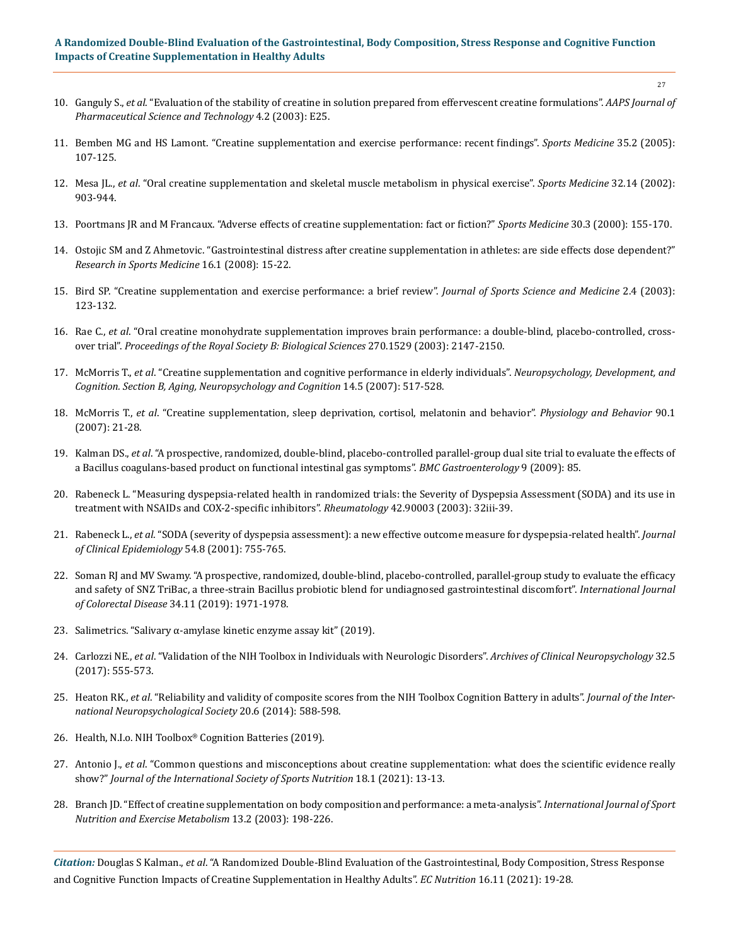# **A Randomized Double-Blind Evaluation of the Gastrointestinal, Body Composition, Stress Response and Cognitive Function Impacts of Creatine Supplementation in Healthy Adults**

- 10. Ganguly S., *et al*[. "Evaluation of the stability of creatine in solution prepared from effervescent creatine formulations".](https://www.researchgate.net/publication/10614870_Evaluation_of_the_stability_of_creatine_in_solution_prepared_from_effervescent_creatine_formulations) *AAPS Journal of [Pharmaceutical Science and Technology](https://www.researchgate.net/publication/10614870_Evaluation_of_the_stability_of_creatine_in_solution_prepared_from_effervescent_creatine_formulations)* 4.2 (2003): E25.
- 11. [Bemben MG and HS Lamont. "Creatine supplementation and exercise performance: recent findings".](https://pubmed.ncbi.nlm.nih.gov/15707376/) *Sports Medicine* 35.2 (2005): [107-125.](https://pubmed.ncbi.nlm.nih.gov/15707376/)
- 12. Mesa JL., *et al*[. "Oral creatine supplementation and skeletal muscle metabolism in physical exercise".](https://pubmed.ncbi.nlm.nih.gov/12427051/) *Sports Medicine* 32.14 (2002): [903-944.](https://pubmed.ncbi.nlm.nih.gov/12427051/)
- 13. [Poortmans JR and M Francaux. "Adverse effects of creatine supplementation: fact or fiction?"](https://pubmed.ncbi.nlm.nih.gov/10999421/) *Sports Medicine* 30.3 (2000): 155-170.
- 14. [Ostojic SM and Z Ahmetovic. "Gastrointestinal distress after creatine supplementation in athletes: are side effects dose dependent?"](https://pubmed.ncbi.nlm.nih.gov/18373286/)  *[Research in Sports Medicine](https://pubmed.ncbi.nlm.nih.gov/18373286/)* 16.1 (2008): 15-22.
- 15. [Bird SP. "Creatine supplementation and exercise performance: a brief review".](https://www.ncbi.nlm.nih.gov/pmc/articles/PMC3963244/) *Journal of Sports Science and Medicine* 2.4 (2003): [123-132.](https://www.ncbi.nlm.nih.gov/pmc/articles/PMC3963244/)
- 16. Rae C., *et al*[. "Oral creatine monohydrate supplementation improves brain performance: a double-blind, placebo-controlled, cross](https://www.ncbi.nlm.nih.gov/pmc/articles/PMC1691485/)over trial". *[Proceedings of the Royal Society B: Biological Sciences](https://www.ncbi.nlm.nih.gov/pmc/articles/PMC1691485/)* 270.1529 (2003): 2147-2150.
- 17. McMorris T., *et al*[. "Creatine supplementation and cognitive performance in elderly individuals".](https://pubmed.ncbi.nlm.nih.gov/17828627/) *Neuropsychology, Development, and [Cognition. Section B, Aging, Neuropsychology and Cognition](https://pubmed.ncbi.nlm.nih.gov/17828627/)* 14.5 (2007): 517-528.
- 18. McMorris T., *et al*[. "Creatine supplementation, sleep deprivation, cortisol, melatonin and behavior".](https://pubmed.ncbi.nlm.nih.gov/17046034/) *Physiology and Behavior* 90.1 [\(2007\): 21-28.](https://pubmed.ncbi.nlm.nih.gov/17046034/)
- 19. Kalman DS., *et al*[. "A prospective, randomized, double-blind, placebo-controlled parallel-group dual site trial to evaluate the effects of](https://pubmed.ncbi.nlm.nih.gov/19922649/)  [a Bacillus coagulans-based product on functional intestinal gas symptoms".](https://pubmed.ncbi.nlm.nih.gov/19922649/) *BMC Gastroenterology* 9 (2009): 85.
- 20. [Rabeneck L. "Measuring dyspepsia-related health in randomized trials: the Severity of Dyspepsia Assessment \(SODA\) and its use in](https://pubmed.ncbi.nlm.nih.gov/14585916/)  [treatment with NSAIDs and COX-2-specific inhibitors".](https://pubmed.ncbi.nlm.nih.gov/14585916/) *Rheumatology* 42.90003 (2003): 32iii-39.
- 21. Rabeneck L., *et al*[. "SODA \(severity of dyspepsia assessment\): a new effective outcome measure for dyspepsia-related health".](https://www.sciencedirect.com/science/article/abs/pii/S0895435600003656) *Journal [of Clinical Epidemiology](https://www.sciencedirect.com/science/article/abs/pii/S0895435600003656)* 54.8 (2001): 755-765.
- 22. [Soman RJ and MV Swamy. "A prospective, randomized, double-blind, placebo-controlled, parallel-group study to evaluate the efficacy](https://pubmed.ncbi.nlm.nih.gov/31686199/)  [and safety of SNZ TriBac, a three-strain Bacillus probiotic blend for undiagnosed gastrointestinal discomfort".](https://pubmed.ncbi.nlm.nih.gov/31686199/) *International Journal of Colorectal Disease* [34.11 \(2019\): 1971-1978.](https://pubmed.ncbi.nlm.nih.gov/31686199/)
- 23. [Salimetrics. "Salivary α-amylase kinetic enzyme assay kit" \(2019\).](https://salimetrics.com/wp-content/uploads/2018/03/alpha-amylase-saliva-elisa-kit.pdf)
- 24. Carlozzi NE., *et al*[. "Validation of the NIH Toolbox in Individuals with Neurologic Disorders".](https://pubmed.ncbi.nlm.nih.gov/28334392/) *Archives of Clinical Neuropsychology* 32.5 [\(2017\): 555-573.](https://pubmed.ncbi.nlm.nih.gov/28334392/)
- 25. Heaton RK., *et al*[. "Reliability and validity of composite scores from the NIH Toolbox Cognition Battery in adults".](https://pubmed.ncbi.nlm.nih.gov/24960398/) *Journal of the Inter[national Neuropsychological Society](https://pubmed.ncbi.nlm.nih.gov/24960398/)* 20.6 (2014): 588-598.
- 26. [Health, N.I.o. NIH Toolbox® Cognition Batteries \(2019\).](http://www.healthmeasures.net/explore-measurement-systems/nih-toolbox/intro-to-nih-toolbox/cognition)
- 27. Antonio J., *et al*[. "Common questions and misconceptions about creatine supplementation: what does the scientific evidence really](https://jissn.biomedcentral.com/articles/10.1186/s12970-021-00412-w)  show?" *[Journal of the International Society of Sports Nutrition](https://jissn.biomedcentral.com/articles/10.1186/s12970-021-00412-w)* 18.1 (2021): 13-13.
- 28. [Branch JD. "Effect of creatine supplementation on body composition and performance: a meta-analysis".](https://pubmed.ncbi.nlm.nih.gov/12945830/) *International Journal of Sport [Nutrition and Exercise Metabolism](https://pubmed.ncbi.nlm.nih.gov/12945830/)* 13.2 (2003): 198-226.